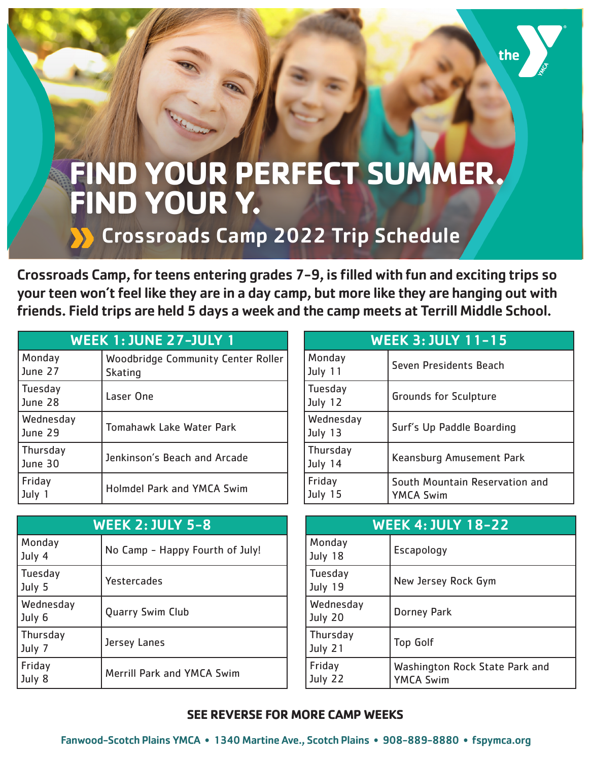## **FIND YOUR PERFECT SUMMER. FIND YOUR Y.**

## Crossroads Camp 2022 Trip Schedule

Crossroads Camp, for teens entering grades 7-9, is filled with fun and exciting trips so your teen won't feel like they are in a day camp, but more like they are hanging out with friends. Field trips are held 5 days a week and the camp meets at Terrill Middle School.

| <b>WEEK 1: JUNE 27-JULY 1</b> |                                                      |
|-------------------------------|------------------------------------------------------|
| Monday<br>June 27             | Woodbridge Community Center Roller<br><b>Skating</b> |
| Tuesday<br>June 28            | Laser One                                            |
| Wednesday<br>June 29          | Tomahawk Lake Water Park                             |
| Thursday<br>June 30           | Jenkinson's Beach and Arcade                         |
| Friday<br>July 1              | <b>Holmdel Park and YMCA Swim</b>                    |

| <b>WEEK 3: JULY 11-15</b>   |                                                    |
|-----------------------------|----------------------------------------------------|
| Monday<br>July 11           | Seven Presidents Beach                             |
| Tuesday<br>July 12          | <b>Grounds for Sculpture</b>                       |
| <b>Wednesday</b><br>July 13 | Surf's Up Paddle Boarding                          |
| Thursday<br>July 14         | Keansburg Amusement Park                           |
| Friday<br>July 15           | South Mountain Reservation and<br><b>YMCA Swim</b> |

| <b>WEEK 2: JULY 5-8</b> |                                 |
|-------------------------|---------------------------------|
| Monday<br>July 4        | No Camp - Happy Fourth of July! |
| Tuesday<br>July 5       | Yestercades                     |
| Wednesday<br>July 6     | Quarry Swim Club                |
| Thursday<br>July 7      | Jersey Lanes                    |
| Friday<br>July 8        | Merrill Park and YMCA Swim      |

| <b>WEEK 4: JULY 18-22</b> |                                                    |
|---------------------------|----------------------------------------------------|
| Monday<br>July 18         | Escapology                                         |
| <b>Tuesday</b><br>July 19 | New Jersey Rock Gym                                |
| Wednesday<br>July 20      | <b>Dorney Park</b>                                 |
| Thursday<br>July 21       | <b>Top Golf</b>                                    |
| Friday<br>July 22         | Washington Rock State Park and<br><b>YMCA Swim</b> |

## **SEE REVERSE FOR MORE CAMP WEEKS**